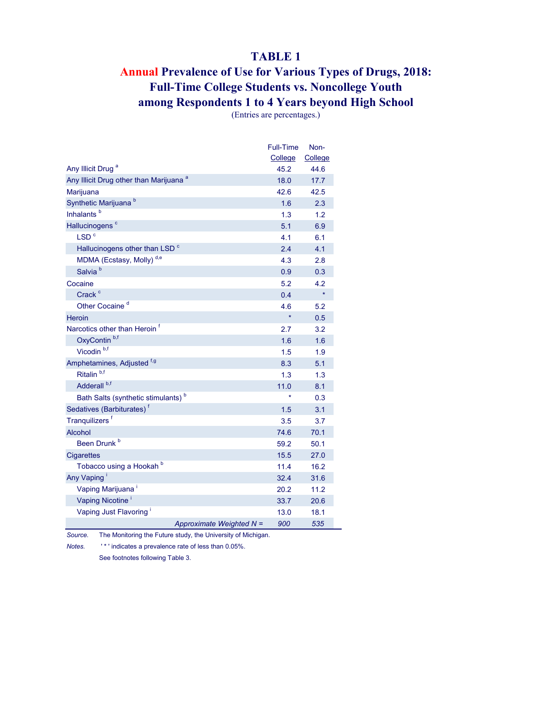#### **TABLE 1**

## **Annual Prevalence of Use for Various Types of Drugs, 2018: Full-Time College Students vs. Noncollege Youth among Respondents 1 to 4 Years beyond High School**

(Entries are percentages.)

|                                                    | Full-Time | Non-    |
|----------------------------------------------------|-----------|---------|
|                                                    | College   | College |
| Any Illicit Drug <sup>a</sup>                      | 45.2      | 44.6    |
| Any Illicit Drug other than Marijuana <sup>a</sup> | 18.0      | 17.7    |
| Marijuana                                          | 42.6      | 42.5    |
| Synthetic Marijuana <sup>b</sup>                   | 1.6       | 2.3     |
| Inhalants <sup>b</sup>                             | 1.3       | 1.2     |
| Hallucinogens <sup>c</sup>                         | 5.1       | 6.9     |
| LSD <sup>c</sup>                                   | 4.1       | 6.1     |
| Hallucinogens other than LSD <sup>c</sup>          | 2.4       | 4.1     |
| MDMA (Ecstasy, Molly) <sup>d,e</sup>               | 4.3       | 2.8     |
| Salvia <sup>b</sup>                                | 0.9       | 0.3     |
| Cocaine                                            | 5.2       | 4.2     |
| Crack <sup>c</sup>                                 | 0.4       | $\star$ |
| Other Cocaine <sup>d</sup>                         | 4.6       | 5.2     |
| <b>Heroin</b>                                      | $\star$   | 0.5     |
| Narcotics other than Heroin <sup>f</sup>           | 2.7       | 3.2     |
| OxyContin <sup>b,f</sup>                           | 1.6       | 1.6     |
| Vicodin <sup>b,f</sup>                             | 1.5       | 1.9     |
| Amphetamines, Adjusted <sup>f,g</sup>              | 8.3       | 5.1     |
| Ritalin <sup>b,f</sup>                             | 1.3       | 1.3     |
| Adderall <sup>b,f</sup>                            | 11.0      | 8.1     |
| Bath Salts (synthetic stimulants) <sup>b</sup>     |           | 0.3     |
| Sedatives (Barbiturates) <sup>f</sup>              | 1.5       | 3.1     |
| Tranquilizers <sup>f</sup>                         | 3.5       | 3.7     |
| <b>Alcohol</b>                                     | 74.6      | 70.1    |
| Been Drunk <sup>b</sup>                            | 59.2      | 50.1    |
| <b>Cigarettes</b>                                  | 15.5      | 27.0    |
| Tobacco using a Hookah b                           | 11.4      | 16.2    |
| Any Vaping                                         | 32.4      | 31.6    |
| Vaping Marijuana <sup>i</sup>                      | 20.2      | 11.2    |
| Vaping Nicotine <sup>1</sup>                       | 33.7      | 20.6    |
| Vaping Just Flavoring                              | 13.0      | 18.1    |
| Approximate Weighted N =                           | 900       | 535     |

*Source.* The Monitoring the Future study, the University of Michigan.

*Notes.* ' \* ' indicates a prevalence rate of less than 0.05%.

See footnotes following Table 3.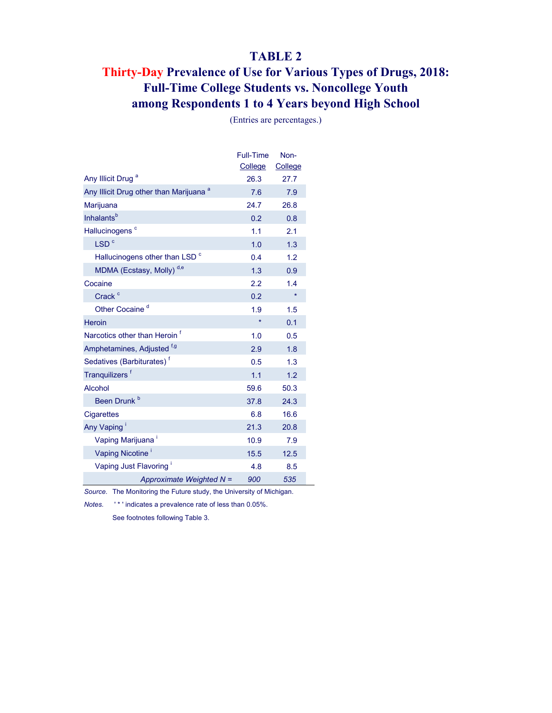#### **TABLE 2**

## **Thirty-Day Prevalence of Use for Various Types of Drugs, 2018: Full-Time College Students vs. Noncollege Youth among Respondents 1 to 4 Years beyond High School**

|                                                    | <b>Full-Time</b><br>College | Non-<br>College |
|----------------------------------------------------|-----------------------------|-----------------|
| Any Illicit Drug <sup>a</sup>                      | 26.3                        | 27.7            |
| Any Illicit Drug other than Marijuana <sup>a</sup> | 7.6                         | 7.9             |
| Marijuana                                          | 24.7                        | 26.8            |
| <b>Inhalants</b> <sup>b</sup>                      | 0.2                         | 0.8             |
| Hallucinogens <sup>c</sup>                         | 1.1                         | 2.1             |
| LSD <sup>c</sup>                                   | 1.0                         | 1.3             |
| Hallucinogens other than LSD <sup>c</sup>          | 0.4                         | 1.2             |
| MDMA (Ecstasy, Molly) <sup>d,e</sup>               | 1.3                         | 0.9             |
| Cocaine                                            | 2.2                         | 1.4             |
| Crack <sup>c</sup>                                 | 0.2                         | $\star$         |
| Other Cocaine <sup>d</sup>                         | 1.9                         | 1.5             |
| Heroin                                             | $\star$                     | 0.1             |
| Narcotics other than Heroin <sup>f</sup>           | 1.0                         | 0.5             |
| Amphetamines, Adjusted <sup>f,g</sup>              | 2.9                         | 1.8             |
| Sedatives (Barbiturates) <sup>†</sup>              | 0.5                         | 1.3             |
| Tranquilizers <sup>f</sup>                         | 1.1                         | 1.2             |
| Alcohol                                            | 59.6                        | 50.3            |
| Been Drunk <sup>b</sup>                            | 37.8                        | 24.3            |
| <b>Cigarettes</b>                                  | 6.8                         | 16.6            |
| Any Vaping                                         | 21.3                        | 20.8            |
| Vaping Marijuana <sup>i</sup>                      | 10.9                        | 7.9             |
| Vaping Nicotine <sup>i</sup>                       | 15.5                        | 12.5            |
| Vaping Just Flavoring <sup>1</sup>                 | 4.8                         | 8.5             |
| Approximate Weighted N =                           | 900                         | 535             |

(Entries are percentages.)

*Source.* The Monitoring the Future study, the University of Michigan.

*Notes.* ' \* ' indicates a prevalence rate of less than 0.05%.

See footnotes following Table 3.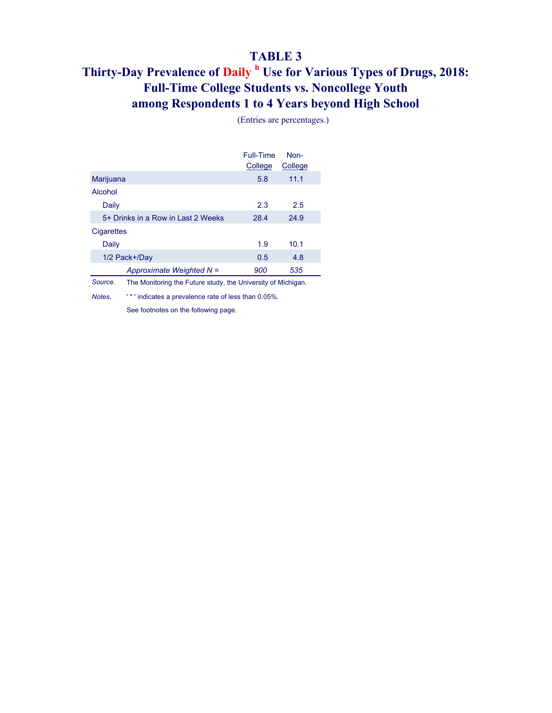# **TABLE 3**

## **among Respondents 1 to 4 Years beyond High School Full-Time College Students vs. Noncollege Youth Thirty-Day Prevalence of Daily <sup>h</sup> Use for Various Types of Drugs, 2018:**

|                                                                         |                                                      | Full-Time<br>College | Non-<br>College |  |
|-------------------------------------------------------------------------|------------------------------------------------------|----------------------|-----------------|--|
| Marijuana                                                               |                                                      | 5.8                  | 11.1            |  |
| Alcohol                                                                 |                                                      |                      |                 |  |
| Daily                                                                   |                                                      | 2.3                  | 2.5             |  |
|                                                                         | 5+ Drinks in a Row in Last 2 Weeks                   | 28.4                 | 24.9            |  |
| <b>Cigarettes</b>                                                       |                                                      |                      |                 |  |
| Daily                                                                   |                                                      | 1.9                  | 10.1            |  |
|                                                                         | 1/2 Pack+/Day                                        | 0.5                  | 4.8             |  |
|                                                                         | Approximate Weighted N =                             | 900                  | 535             |  |
| Source.<br>The Monitoring the Future study, the University of Michigan. |                                                      |                      |                 |  |
| Notes.                                                                  | "* ' indicates a prevalence rate of less than 0.05%. |                      |                 |  |

(Entries are percentages.)

See footnotes on the following page.